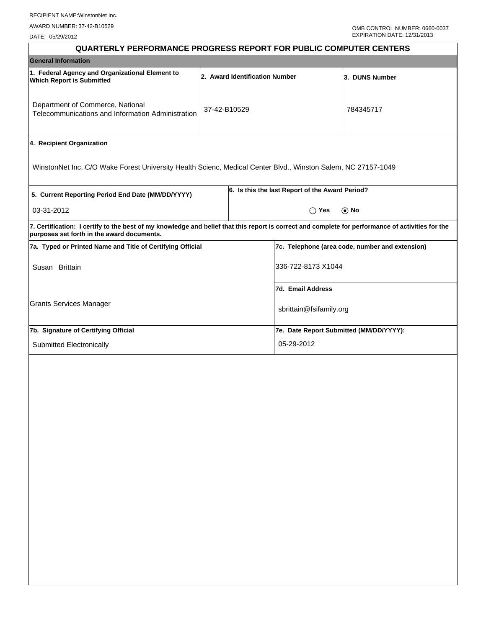DATE: 05/29/2012

| <b>QUARTERLY PERFORMANCE PROGRESS REPORT FOR PUBLIC COMPUTER CENTERS</b>                                                                                                                        |                                |                                                 |                                                 |  |  |
|-------------------------------------------------------------------------------------------------------------------------------------------------------------------------------------------------|--------------------------------|-------------------------------------------------|-------------------------------------------------|--|--|
| <b>General Information</b>                                                                                                                                                                      |                                |                                                 |                                                 |  |  |
| 1. Federal Agency and Organizational Element to<br><b>Which Report is Submitted</b>                                                                                                             | 2. Award Identification Number | 3. DUNS Number                                  |                                                 |  |  |
| Department of Commerce, National<br>37-42-B10529<br>Telecommunications and Information Administration                                                                                           |                                | 784345717                                       |                                                 |  |  |
| 4. Recipient Organization                                                                                                                                                                       |                                |                                                 |                                                 |  |  |
| WinstonNet Inc. C/O Wake Forest University Health Scienc, Medical Center Blvd., Winston Salem, NC 27157-1049                                                                                    |                                |                                                 |                                                 |  |  |
| 5. Current Reporting Period End Date (MM/DD/YYYY)                                                                                                                                               |                                | 6. Is this the last Report of the Award Period? |                                                 |  |  |
| 03-31-2012                                                                                                                                                                                      |                                | $\bigcirc$ Yes                                  | $\odot$ No                                      |  |  |
| 7. Certification: I certify to the best of my knowledge and belief that this report is correct and complete for performance of activities for the<br>purposes set forth in the award documents. |                                |                                                 |                                                 |  |  |
| 7a. Typed or Printed Name and Title of Certifying Official                                                                                                                                      |                                |                                                 | 7c. Telephone (area code, number and extension) |  |  |
| Susan Brittain                                                                                                                                                                                  |                                | 336-722-8173 X1044                              |                                                 |  |  |
|                                                                                                                                                                                                 |                                | 7d. Email Address                               |                                                 |  |  |
| <b>Grants Services Manager</b>                                                                                                                                                                  |                                | sbrittain@fsifamily.org                         |                                                 |  |  |
| 7b. Signature of Certifying Official                                                                                                                                                            |                                | 7e. Date Report Submitted (MM/DD/YYYY):         |                                                 |  |  |
| Submitted Electronically                                                                                                                                                                        |                                | 05-29-2012                                      |                                                 |  |  |
|                                                                                                                                                                                                 |                                |                                                 |                                                 |  |  |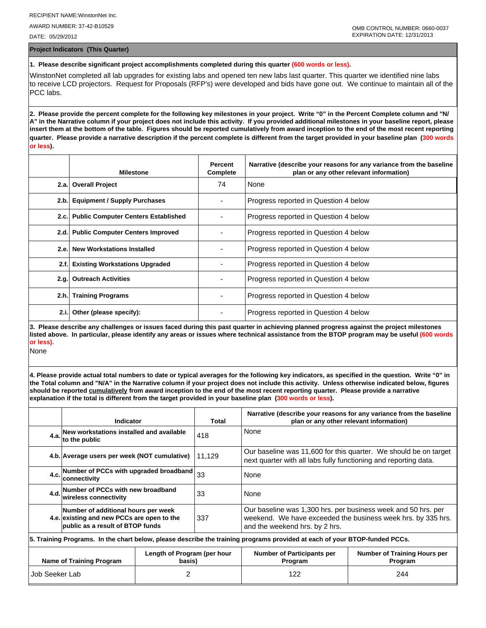AWARD NUMBER: 37-42-B10529

DATE: 05/29/2012

**Project Indicators (This Quarter)**

## **1. Please describe significant project accomplishments completed during this quarter (600 words or less).**

WinstonNet completed all lab upgrades for existing labs and opened ten new labs last quarter. This quarter we identified nine labs to receive LCD projectors. Request for Proposals (RFP's) were developed and bids have gone out. We continue to maintain all of the PCC labs.

**2. Please provide the percent complete for the following key milestones in your project. Write "0" in the Percent Complete column and "N/ A" in the Narrative column if your project does not include this activity. If you provided additional milestones in your baseline report, please insert them at the bottom of the table. Figures should be reported cumulatively from award inception to the end of the most recent reporting quarter. Please provide a narrative description if the percent complete is different from the target provided in your baseline plan (300 words or less).**

|      | <b>Milestone</b>                         | Percent<br>Complete | Narrative (describe your reasons for any variance from the baseline<br>plan or any other relevant information) |
|------|------------------------------------------|---------------------|----------------------------------------------------------------------------------------------------------------|
|      | 2.a. Overall Project                     | 74                  | None                                                                                                           |
|      | 2.b. Equipment / Supply Purchases        |                     | Progress reported in Question 4 below                                                                          |
|      | 2.c. Public Computer Centers Established |                     | Progress reported in Question 4 below                                                                          |
|      | 2.d. Public Computer Centers Improved    |                     | Progress reported in Question 4 below                                                                          |
|      | 2.e. New Workstations Installed          |                     | Progress reported in Question 4 below                                                                          |
| 2.f. | <b>Existing Workstations Upgraded</b>    |                     | Progress reported in Question 4 below                                                                          |
|      | 2.g. Outreach Activities                 |                     | Progress reported in Question 4 below                                                                          |
| 2.h. | <b>Training Programs</b>                 |                     | Progress reported in Question 4 below                                                                          |
| 2.i. | Other (please specify):                  |                     | Progress reported in Question 4 below                                                                          |

**3. Please describe any challenges or issues faced during this past quarter in achieving planned progress against the project milestones listed above. In particular, please identify any areas or issues where technical assistance from the BTOP program may be useful (600 words or less).**

None

**4. Please provide actual total numbers to date or typical averages for the following key indicators, as specified in the question. Write "0" in the Total column and "N/A" in the Narrative column if your project does not include this activity. Unless otherwise indicated below, figures should be reported cumulatively from award inception to the end of the most recent reporting quarter. Please provide a narrative explanation if the total is different from the target provided in your baseline plan (300 words or less).** 

|                                                                                                                            | Indicator                                                                                                             |  | Total                                        | Narrative (describe your reasons for any variance from the baseline<br>plan or any other relevant information)                                                  |  |  |  |
|----------------------------------------------------------------------------------------------------------------------------|-----------------------------------------------------------------------------------------------------------------------|--|----------------------------------------------|-----------------------------------------------------------------------------------------------------------------------------------------------------------------|--|--|--|
|                                                                                                                            | 4.a. New workstations installed and available<br>to the public<br>418                                                 |  |                                              | None                                                                                                                                                            |  |  |  |
|                                                                                                                            | 4.b. Average users per week (NOT cumulative)                                                                          |  | 11,129                                       | Our baseline was 11,600 for this quarter. We should be on target<br>next quarter with all labs fully functioning and reporting data.                            |  |  |  |
|                                                                                                                            | 4.c. Number of PCCs with upgraded broadband<br>33<br>None<br>Iconnectivitv                                            |  |                                              |                                                                                                                                                                 |  |  |  |
|                                                                                                                            | 4.d. Number of PCCs with new broadband<br>33<br><b>wireless connectivity</b>                                          |  |                                              | None                                                                                                                                                            |  |  |  |
|                                                                                                                            | Number of additional hours per week<br>4.e. existing and new PCCs are open to the<br>public as a result of BTOP funds |  | 337                                          | Our baseline was 1,300 hrs. per business week and 50 hrs. per<br>weekend. We have exceeded the business week hrs. by 335 hrs.<br>and the weekend hrs. by 2 hrs. |  |  |  |
| 5. Training Programs. In the chart below, please describe the training programs provided at each of your BTOP-funded PCCs. |                                                                                                                       |  |                                              |                                                                                                                                                                 |  |  |  |
| Length of Program (per hour<br><b>Name of Training Program</b><br>basis)                                                   |                                                                                                                       |  | <b>Number of Participants per</b><br>Program | Number of Training Hours per<br>Program                                                                                                                         |  |  |  |
| Job Seeker Lab<br>2                                                                                                        |                                                                                                                       |  | 122                                          | 244                                                                                                                                                             |  |  |  |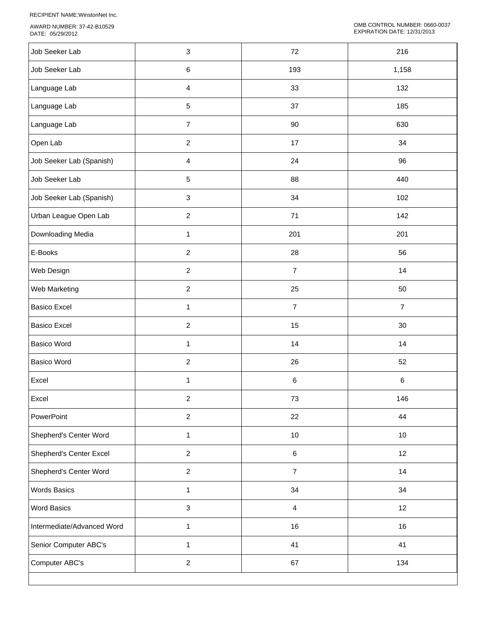RECIPIENT NAME:WinstonNet Inc.

AWARD NUMBER: 37-42-B10529 DATE: 05/29/2012

| Job Seeker Lab             | $\ensuremath{\mathsf{3}}$ | 72             | 216            |
|----------------------------|---------------------------|----------------|----------------|
| Job Seeker Lab             | $\,6\,$                   | 193            | 1,158          |
| Language Lab               | $\overline{\mathbf{4}}$   | 33             | 132            |
| Language Lab               | $\sqrt{5}$                | 37             | 185            |
| Language Lab               | $\overline{7}$            | 90             | 630            |
| Open Lab                   | $\overline{c}$            | 17             | 34             |
| Job Seeker Lab (Spanish)   | $\overline{4}$            | 24             | 96             |
| Job Seeker Lab             | $\sqrt{5}$                | 88             | 440            |
| Job Seeker Lab (Spanish)   | $\ensuremath{\mathsf{3}}$ | 34             | 102            |
| Urban League Open Lab      | $\overline{2}$            | 71             | 142            |
| Downloading Media          | $\mathbf{1}$              | 201            | 201            |
| E-Books                    | $\overline{2}$            | 28             | 56             |
| Web Design                 | $\overline{2}$            | $\overline{7}$ | 14             |
| Web Marketing              | $\overline{c}$            | 25             | 50             |
| <b>Basico Excel</b>        | $\mathbf{1}$              | $\overline{7}$ | $\overline{7}$ |
| <b>Basico Excel</b>        | $\sqrt{2}$                | 15             | 30             |
| <b>Basico Word</b>         | $\mathbf{1}$              | 14             | 14             |
| <b>Basico Word</b>         | $\boldsymbol{2}$          | 26             | 52             |
| Excel                      | 1                         | $\,6\,$        | $\,6$          |
| Excel                      | 2                         | 73             | 146            |
| PowerPoint                 | $\overline{2}$            | 22             | 44             |
| Shepherd's Center Word     | $\mathbf{1}$              | $10$           | $10$           |
| Shepherd's Center Excel    | $\overline{2}$            | $\,6\,$        | 12             |
| Shepherd's Center Word     | $\overline{2}$            | $\overline{7}$ | 14             |
| <b>Words Basics</b>        | 1                         | 34             | 34             |
| <b>Word Basics</b>         | $\ensuremath{\mathsf{3}}$ | $\overline{4}$ | 12             |
| Intermediate/Advanced Word | $\mathbf{1}$              | 16             | 16             |
| Senior Computer ABC's      | $\mathbf{1}$              | 41             | 41             |
| Computer ABC's             | $\overline{c}$            | 67             | 134            |
|                            |                           |                |                |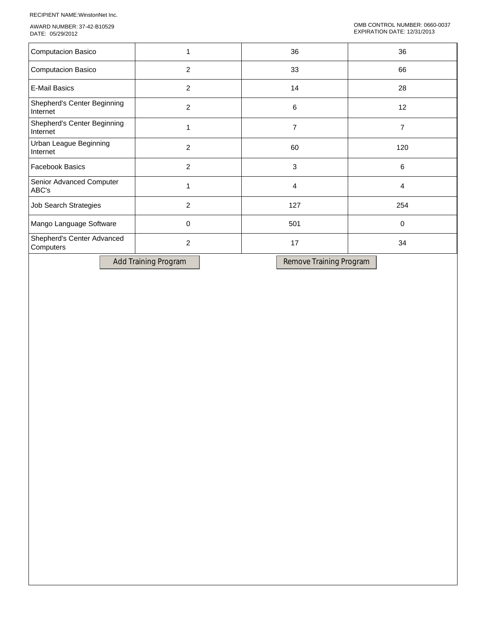RECIPIENT NAME:WinstonNet Inc.

AWARD NUMBER: 37-42-B10529 DATE: 05/29/2012

|                | 36             | 36          |
|----------------|----------------|-------------|
| 2              | 33             | 66          |
| 2              | 14             | 28          |
| $\overline{2}$ | 6              | 12          |
|                | 7              | 7           |
| $\overline{2}$ | 60             | 120         |
| $\overline{2}$ | 3              | 6           |
|                | $\overline{4}$ | 4           |
| 2              | 127            | 254         |
| 0              | 501            | $\mathbf 0$ |
| 2              | 17             | 34          |
|                |                |             |

Add Training Program Remove Training Program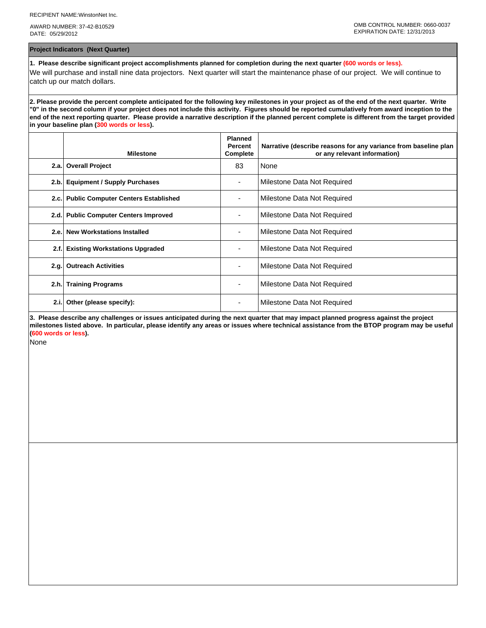AWARD NUMBER: 37-42-B10529 DATE: 05/29/2012

**Project Indicators (Next Quarter)**

**1. Please describe significant project accomplishments planned for completion during the next quarter (600 words or less).** We will purchase and install nine data projectors. Next quarter will start the maintenance phase of our project. We will continue to catch up our match dollars.

**2. Please provide the percent complete anticipated for the following key milestones in your project as of the end of the next quarter. Write "0" in the second column if your project does not include this activity. Figures should be reported cumulatively from award inception to the end of the next reporting quarter. Please provide a narrative description if the planned percent complete is different from the target provided in your baseline plan (300 words or less).**

|      | <b>Milestone</b>                         | <b>Planned</b><br>Percent<br>Complete | Narrative (describe reasons for any variance from baseline plan<br>or any relevant information) |
|------|------------------------------------------|---------------------------------------|-------------------------------------------------------------------------------------------------|
|      | 2.a. Overall Project                     | 83                                    | None                                                                                            |
| 2.b. | <b>Equipment / Supply Purchases</b>      |                                       | Milestone Data Not Required                                                                     |
|      | 2.c. Public Computer Centers Established |                                       | Milestone Data Not Required                                                                     |
|      | 2.d. Public Computer Centers Improved    |                                       | Milestone Data Not Required                                                                     |
| 2.e. | <b>New Workstations Installed</b>        |                                       | Milestone Data Not Required                                                                     |
| 2.f. | <b>Existing Workstations Upgraded</b>    |                                       | Milestone Data Not Required                                                                     |
| 2.g. | <b>Outreach Activities</b>               |                                       | Milestone Data Not Required                                                                     |
| 2.h. | <b>Training Programs</b>                 | ۰                                     | Milestone Data Not Required                                                                     |
| 2.i. | Other (please specify):                  |                                       | Milestone Data Not Required                                                                     |

**3. Please describe any challenges or issues anticipated during the next quarter that may impact planned progress against the project milestones listed above. In particular, please identify any areas or issues where technical assistance from the BTOP program may be useful (600 words or less).**

None